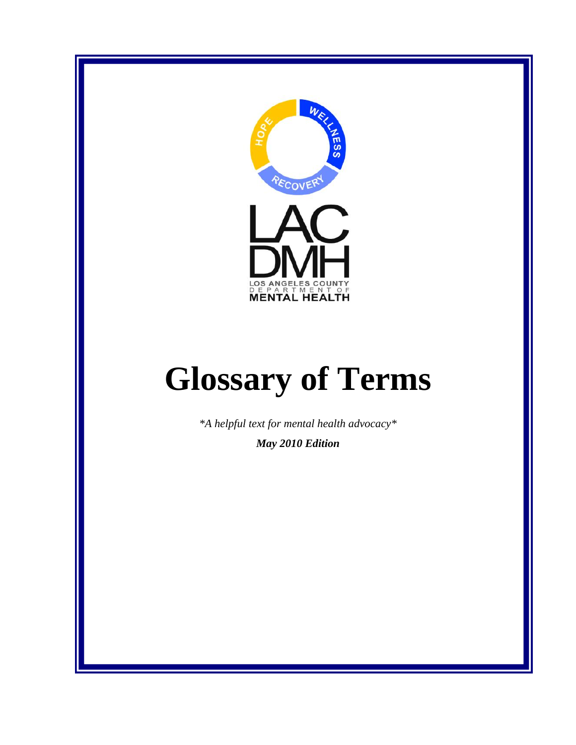

# **Glossary of Terms**

*\*A helpful text for mental health advocacy\** 

*May 2010 Edition*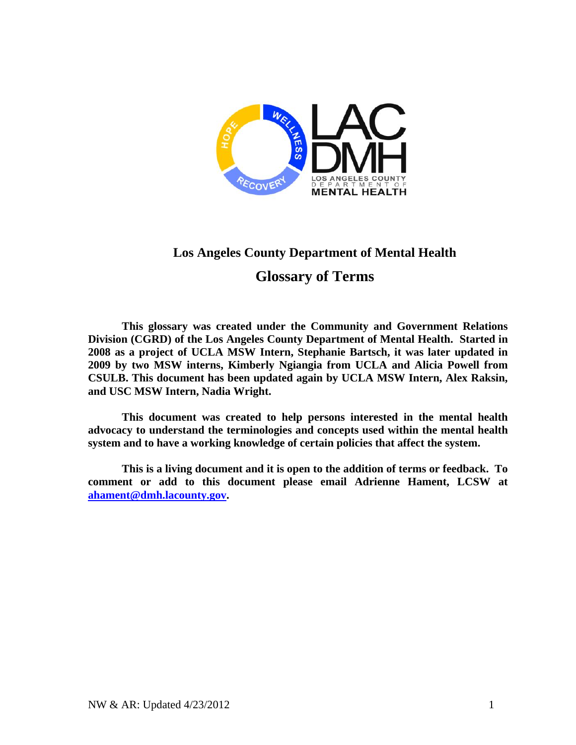

### **Los Angeles County Department of Mental Health**

#### **Glossary of Terms**

**This glossary was created under the Community and Government Relations Division (CGRD) of the Los Angeles County Department of Mental Health. Started in 2008 as a project of UCLA MSW Intern, Stephanie Bartsch, it was later updated in 2009 by two MSW interns, Kimberly Ngiangia from UCLA and Alicia Powell from CSULB. This document has been updated again by UCLA MSW Intern, Alex Raksin, and USC MSW Intern, Nadia Wright.** 

**This document was created to help persons interested in the mental health advocacy to understand the terminologies and concepts used within the mental health system and to have a working knowledge of certain policies that affect the system.** 

**This is a living document and it is open to the addition of terms or feedback. To comment or add to this document please email Adrienne Hament, LCSW at ahament@dmh.lacounty.gov.**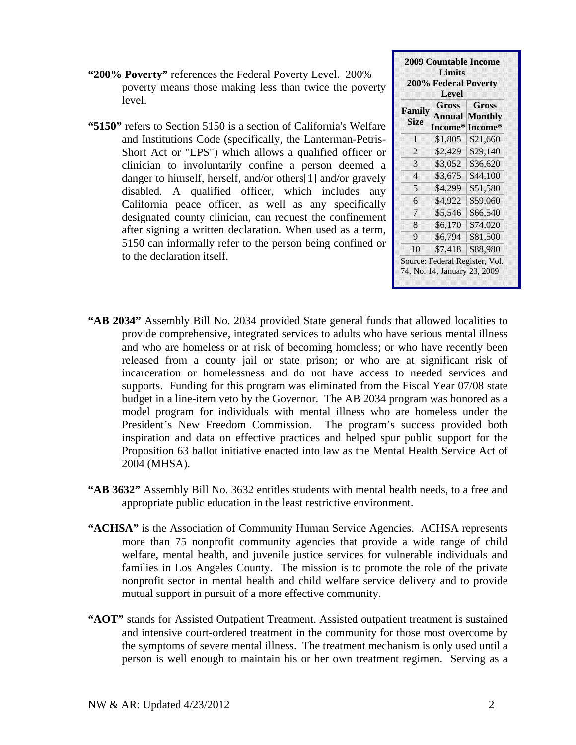- **"200% Poverty"** references the Federal Poverty Level. 200% poverty means those making less than twice the poverty level.
- **"5150"** refers to Section 5150 is a section of California's Welfare and Institutions Code (specifically, the Lanterman-Petris-Short Act or "LPS") which allows a qualified officer or clinician to involuntarily confine a person deemed a danger to himself, herself, and/or others[1] and/or gravely disabled. A qualified officer, which includes any California peace officer, as well as any specifically designated county clinician, can request the confinement after signing a written declaration. When used as a term, 5150 can informally refer to the person being confined or to the declaration itself.

| 200% Federal Poverty  |         |          |
|-----------------------|---------|----------|
|                       | Level   |          |
| Family<br><b>Size</b> | Gross   | Gross    |
|                       | Annual  | Monthly  |
|                       | Income* | Income*  |
| 1                     | \$1,805 | \$21,660 |
| $\overline{2}$        | \$2,429 | \$29,140 |
| 3                     | \$3,052 | \$36,620 |
| $\overline{4}$        | \$3,675 | \$44,100 |
| $\overline{5}$        | \$4,299 | \$51,580 |
| 6                     | \$4,922 | \$59,060 |
| 7                     | \$5,546 | \$66,540 |
| 8                     | \$6,170 | \$74,020 |
| 9                     | \$6,794 | \$81,500 |
| 10                    | \$7,418 | \$88,980 |

- **"AB 2034"** Assembly Bill No. 2034 provided State general funds that allowed localities to provide comprehensive, integrated services to adults who have serious mental illness and who are homeless or at risk of becoming homeless; or who have recently been released from a county jail or state prison; or who are at significant risk of incarceration or homelessness and do not have access to needed services and supports. Funding for this program was eliminated from the Fiscal Year 07/08 state budget in a line-item veto by the Governor. The AB 2034 program was honored as a model program for individuals with mental illness who are homeless under the President's New Freedom Commission. The program's success provided both inspiration and data on effective practices and helped spur public support for the Proposition 63 ballot initiative enacted into law as the Mental Health Service Act of 2004 (MHSA).
- **"AB 3632"** Assembly Bill No. 3632 entitles students with mental health needs, to a free and appropriate public education in the least restrictive environment.
- **"ACHSA"** is the Association of Community Human Service Agencies. ACHSA represents more than 75 nonprofit community agencies that provide a wide range of child welfare, mental health, and juvenile justice services for vulnerable individuals and families in Los Angeles County. The mission is to promote the role of the private nonprofit sector in mental health and child welfare service delivery and to provide mutual support in pursuit of a more effective community.
- **"AOT"** stands for Assisted Outpatient Treatment. Assisted outpatient treatment is sustained and intensive court-ordered treatment in the community for those most overcome by the symptoms of severe mental illness. The treatment mechanism is only used until a person is well enough to maintain his or her own treatment regimen. Serving as a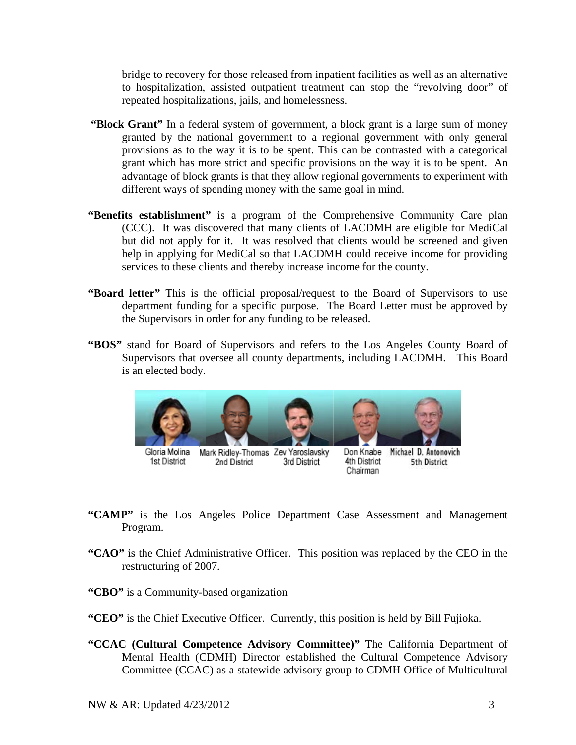bridge to recovery for those released from inpatient facilities as well as an alternative to hospitalization, assisted outpatient treatment can stop the "revolving door" of repeated hospitalizations, jails, and homelessness.

- **"Block Grant"** In a federal system of government, a block grant is a large sum of money granted by the national government to a regional government with only general provisions as to the way it is to be spent. This can be contrasted with a categorical grant which has more strict and specific provisions on the way it is to be spent. An advantage of block grants is that they allow regional governments to experiment with different ways of spending money with the same goal in mind.
- **"Benefits establishment"** is a program of the Comprehensive Community Care plan (CCC). It was discovered that many clients of LACDMH are eligible for MediCal but did not apply for it. It was resolved that clients would be screened and given help in applying for MediCal so that LACDMH could receive income for providing services to these clients and thereby increase income for the county.
- **"Board letter"** This is the official proposal/request to the Board of Supervisors to use department funding for a specific purpose. The Board Letter must be approved by the Supervisors in order for any funding to be released.
- **"BOS"** stand for Board of Supervisors and refers to the Los Angeles County Board of Supervisors that oversee all county departments, including LACDMH. This Board is an elected body.



Gloria Molina 1st District

Mark Ridley-Thomas Zev Yaroslavsky 2nd District 3rd District

Don Knabe Michael D. Antonovich 4th District 5th District Chairman

- **"CAMP"** is the Los Angeles Police Department Case Assessment and Management Program.
- **"CAO"** is the Chief Administrative Officer. This position was replaced by the CEO in the restructuring of 2007.
- **"CBO"** is a Community-based organization
- **"CEO"** is the Chief Executive Officer.Currently, this position is held by Bill Fujioka.
- **"CCAC (Cultural Competence Advisory Committee)"** The California Department of Mental Health (CDMH) Director established the Cultural Competence Advisory Committee (CCAC) as a statewide advisory group to CDMH Office of Multicultural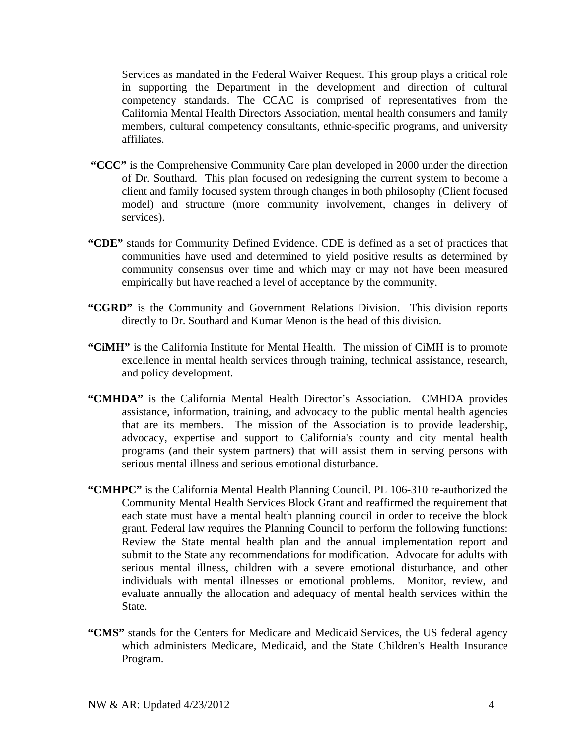Services as mandated in the Federal Waiver Request. This group plays a critical role in supporting the Department in the development and direction of cultural competency standards. The CCAC is comprised of representatives from the California Mental Health Directors Association, mental health consumers and family members, cultural competency consultants, ethnic-specific programs, and university affiliates.

- **"CCC"** is the Comprehensive Community Care plan developed in 2000 under the direction of Dr. Southard. This plan focused on redesigning the current system to become a client and family focused system through changes in both philosophy (Client focused model) and structure (more community involvement, changes in delivery of services).
- **"CDE"** stands for Community Defined Evidence. CDE is defined as a set of practices that communities have used and determined to yield positive results as determined by community consensus over time and which may or may not have been measured empirically but have reached a level of acceptance by the community.
- **"CGRD"** is the Community and Government Relations Division. This division reports directly to Dr. Southard and Kumar Menon is the head of this division.
- **"CiMH"** is the California Institute for Mental Health. The mission of CiMH is to promote excellence in mental health services through training, technical assistance, research, and policy development.
- **"CMHDA"** is the California Mental Health Director's Association. CMHDA provides assistance, information, training, and advocacy to the public mental health agencies that are its members. The mission of the Association is to provide leadership, advocacy, expertise and support to California's county and city mental health programs (and their system partners) that will assist them in serving persons with serious mental illness and serious emotional disturbance.
- **"CMHPC"** is the California Mental Health Planning Council. PL 106-310 re-authorized the Community Mental Health Services Block Grant and reaffirmed the requirement that each state must have a mental health planning council in order to receive the block grant. Federal law requires the Planning Council to perform the following functions: Review the State mental health plan and the annual implementation report and submit to the State any recommendations for modification. Advocate for adults with serious mental illness, children with a severe emotional disturbance, and other individuals with mental illnesses or emotional problems. Monitor, review, and evaluate annually the allocation and adequacy of mental health services within the State.
- "CMS" stands for the Centers for Medicare and Medicaid Services, the US federal agency which administers Medicare, Medicaid, and the State Children's Health Insurance Program.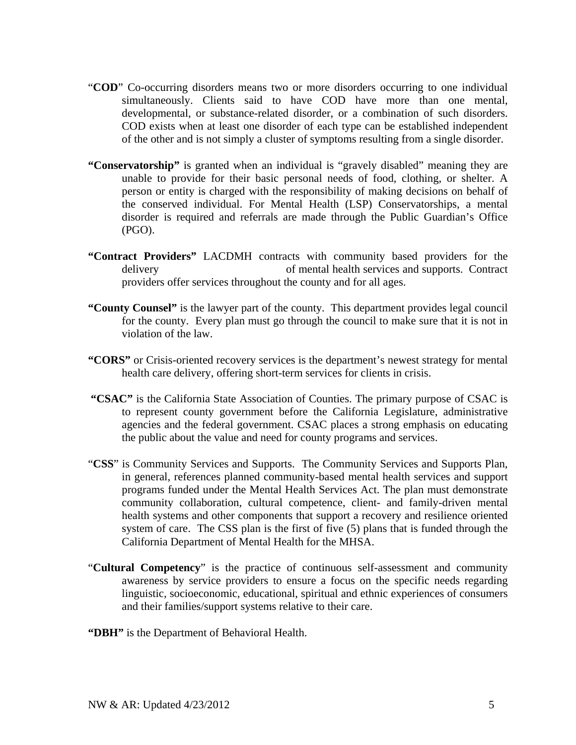- "**COD**" Co-occurring disorders means two or more disorders occurring to one individual simultaneously. Clients said to have COD have more than one mental, developmental, or substance-related disorder, or a combination of such disorders. COD exists when at least one disorder of each type can be established independent of the other and is not simply a cluster of symptoms resulting from a single disorder.
- **"Conservatorship"** is granted when an individual is "gravely disabled" meaning they are unable to provide for their basic personal needs of food, clothing, or shelter. A person or entity is charged with the responsibility of making decisions on behalf of the conserved individual. For Mental Health (LSP) Conservatorships, a mental disorder is required and referrals are made through the Public Guardian's Office (PGO).
- **"Contract Providers"** LACDMH contracts with community based providers for the delivery of mental health services and supports. Contract providers offer services throughout the county and for all ages.
- **"County Counsel"** is the lawyer part of the county. This department provides legal council for the county. Every plan must go through the council to make sure that it is not in violation of the law.
- **"CORS"** or Crisis-oriented recovery services is the department's newest strategy for mental health care delivery, offering short-term services for clients in crisis.
- **"CSAC"** is the California State Association of Counties. The primary purpose of CSAC is to represent county government before the California Legislature, administrative agencies and the federal government. CSAC places a strong emphasis on educating the public about the value and need for county programs and services.
- "**CSS**" is Community Services and Supports. The Community Services and Supports Plan, in general, references planned community-based mental health services and support programs funded under the Mental Health Services Act. The plan must demonstrate community collaboration, cultural competence, client- and family-driven mental health systems and other components that support a recovery and resilience oriented system of care. The CSS plan is the first of five (5) plans that is funded through the California Department of Mental Health for the MHSA.
- "**Cultural Competency**" is the practice of continuous self-assessment and community awareness by service providers to ensure a focus on the specific needs regarding linguistic, socioeconomic, educational, spiritual and ethnic experiences of consumers and their families/support systems relative to their care.
- **"DBH"** is the Department of Behavioral Health.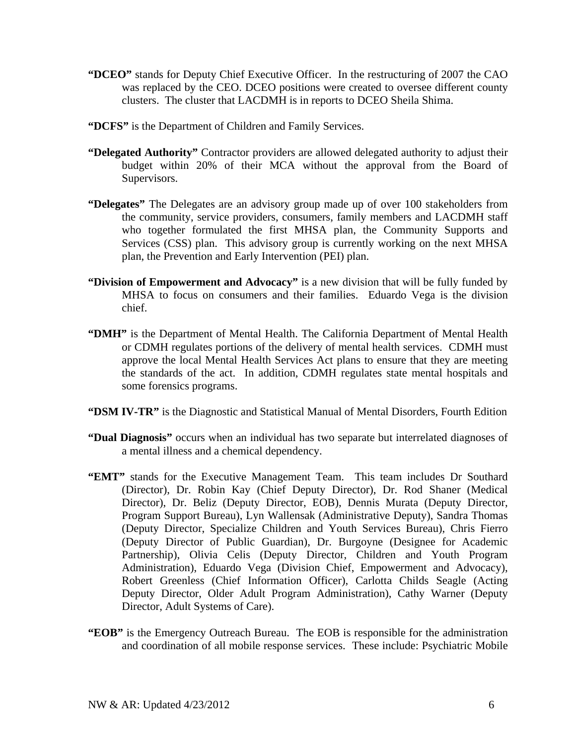- **"DCEO"** stands for Deputy Chief Executive Officer. In the restructuring of 2007 the CAO was replaced by the CEO. DCEO positions were created to oversee different county clusters. The cluster that LACDMH is in reports to DCEO Sheila Shima.
- **"DCFS"** is the Department of Children and Family Services.
- **"Delegated Authority"** Contractor providers are allowed delegated authority to adjust their budget within 20% of their MCA without the approval from the Board of Supervisors.
- **"Delegates"** The Delegates are an advisory group made up of over 100 stakeholders from the community, service providers, consumers, family members and LACDMH staff who together formulated the first MHSA plan, the Community Supports and Services (CSS) plan. This advisory group is currently working on the next MHSA plan, the Prevention and Early Intervention (PEI) plan.
- **"Division of Empowerment and Advocacy"** is a new division that will be fully funded by MHSA to focus on consumers and their families. Eduardo Vega is the division chief.
- **"DMH"** is the Department of Mental Health. The California Department of Mental Health or CDMH regulates portions of the delivery of mental health services. CDMH must approve the local Mental Health Services Act plans to ensure that they are meeting the standards of the act. In addition, CDMH regulates state mental hospitals and some forensics programs.
- **"DSM IV-TR"** is the Diagnostic and Statistical Manual of Mental Disorders, Fourth Edition
- **"Dual Diagnosis"** occurs when an individual has two separate but interrelated diagnoses of a mental illness and a chemical dependency.
- **"EMT"** stands for the Executive Management Team. This team includes Dr Southard (Director), Dr. Robin Kay (Chief Deputy Director), Dr. Rod Shaner (Medical Director), Dr. Beliz (Deputy Director, EOB), Dennis Murata (Deputy Director, Program Support Bureau), Lyn Wallensak (Administrative Deputy), Sandra Thomas (Deputy Director, Specialize Children and Youth Services Bureau), Chris Fierro (Deputy Director of Public Guardian), Dr. Burgoyne (Designee for Academic Partnership), Olivia Celis (Deputy Director, Children and Youth Program Administration), Eduardo Vega (Division Chief, Empowerment and Advocacy), Robert Greenless (Chief Information Officer), Carlotta Childs Seagle (Acting Deputy Director, Older Adult Program Administration), Cathy Warner (Deputy Director, Adult Systems of Care).
- **"EOB"** is the Emergency Outreach Bureau. The EOB is responsible for the administration and coordination of all mobile response services. These include: Psychiatric Mobile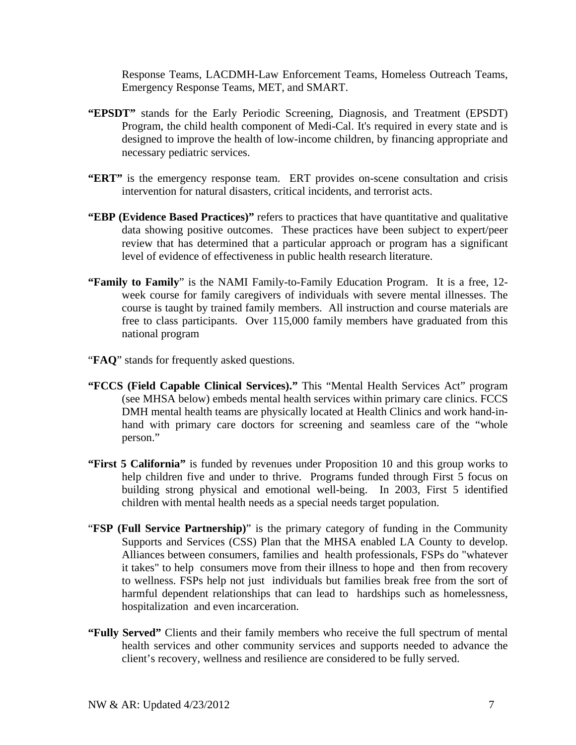Response Teams, LACDMH-Law Enforcement Teams, Homeless Outreach Teams, Emergency Response Teams, MET, and SMART.

- **"EPSDT"** stands for the Early Periodic Screening, Diagnosis, and Treatment (EPSDT) Program, the child health component of Medi-Cal. It's required in every state and is designed to improve the health of low-income children, by financing appropriate and necessary pediatric services.
- "ERT" is the emergency response team. ERT provides on-scene consultation and crisis intervention for natural disasters, critical incidents, and terrorist acts.
- **"EBP (Evidence Based Practices)"** refers to practices that have quantitative and qualitative data showing positive outcomes. These practices have been subject to expert/peer review that has determined that a particular approach or program has a significant level of evidence of effectiveness in public health research literature.
- **"Family to Family**" is the NAMI Family-to-Family Education Program. It is a free, 12 week course for family caregivers of individuals with severe mental illnesses. The course is taught by trained family members. All instruction and course materials are free to class participants. Over 115,000 family members have graduated from this national program
- "**FAQ**" stands for frequently asked questions.
- **"FCCS (Field Capable Clinical Services)."** This "Mental Health Services Act" program (see MHSA below) embeds mental health services within primary care clinics. FCCS DMH mental health teams are physically located at Health Clinics and work hand-inhand with primary care doctors for screening and seamless care of the "whole person."
- **"First 5 California"** is funded by revenues under Proposition 10 and this group works to help children five and under to thrive. Programs funded through First 5 focus on building strong physical and emotional well-being. In 2003, First 5 identified children with mental health needs as a special needs target population.
- "**FSP (Full Service Partnership)**" is the primary category of funding in the Community Supports and Services (CSS) Plan that the MHSA enabled LA County to develop. Alliances between consumers, families and health professionals, FSPs do "whatever it takes" to help consumers move from their illness to hope and then from recovery to wellness. FSPs help not just individuals but families break free from the sort of harmful dependent relationships that can lead to hardships such as homelessness, hospitalization and even incarceration.
- **"Fully Served"** Clients and their family members who receive the full spectrum of mental health services and other community services and supports needed to advance the client's recovery, wellness and resilience are considered to be fully served.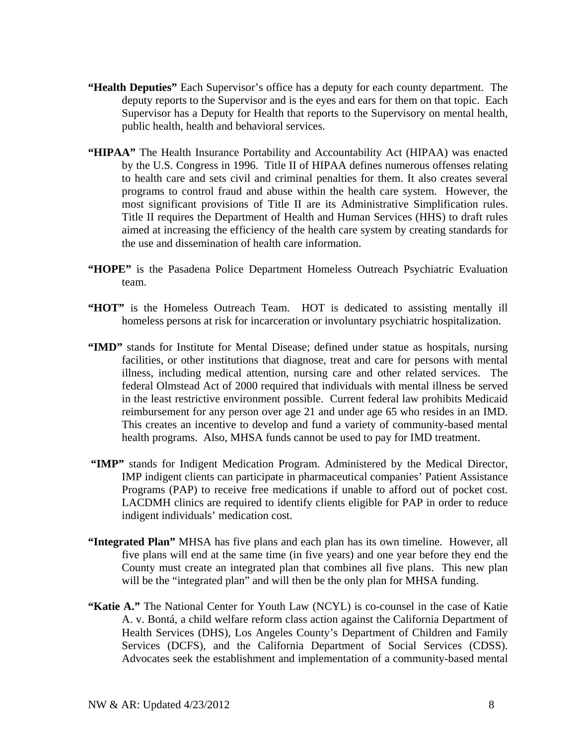- **"Health Deputies"** Each Supervisor's office has a deputy for each county department. The deputy reports to the Supervisor and is the eyes and ears for them on that topic. Each Supervisor has a Deputy for Health that reports to the Supervisory on mental health, public health, health and behavioral services.
- **"HIPAA"** The Health Insurance Portability and Accountability Act (HIPAA) was enacted by the U.S. Congress in 1996. Title II of HIPAA defines numerous offenses relating to health care and sets civil and criminal penalties for them. It also creates several programs to control fraud and abuse within the health care system. However, the most significant provisions of Title II are its Administrative Simplification rules. Title II requires the Department of Health and Human Services (HHS) to draft rules aimed at increasing the efficiency of the health care system by creating standards for the use and dissemination of health care information.
- **"HOPE"** is the Pasadena Police Department Homeless Outreach Psychiatric Evaluation team.
- "HOT" is the Homeless Outreach Team. HOT is dedicated to assisting mentally ill homeless persons at risk for incarceration or involuntary psychiatric hospitalization.
- **"IMD"** stands for Institute for Mental Disease; defined under statue as hospitals, nursing facilities, or other institutions that diagnose, treat and care for persons with mental illness, including medical attention, nursing care and other related services. The federal Olmstead Act of 2000 required that individuals with mental illness be served in the least restrictive environment possible. Current federal law prohibits Medicaid reimbursement for any person over age 21 and under age 65 who resides in an IMD. This creates an incentive to develop and fund a variety of community-based mental health programs. Also, MHSA funds cannot be used to pay for IMD treatment.
- **"IMP"** stands for Indigent Medication Program. Administered by the Medical Director, IMP indigent clients can participate in pharmaceutical companies' Patient Assistance Programs (PAP) to receive free medications if unable to afford out of pocket cost. LACDMH clinics are required to identify clients eligible for PAP in order to reduce indigent individuals' medication cost.
- **"Integrated Plan"** MHSA has five plans and each plan has its own timeline. However, all five plans will end at the same time (in five years) and one year before they end the County must create an integrated plan that combines all five plans. This new plan will be the "integrated plan" and will then be the only plan for MHSA funding.
- **"Katie A."** The National Center for Youth Law (NCYL) is co-counsel in the case of Katie A. v. Bontá, a child welfare reform class action against the California Department of Health Services (DHS), Los Angeles County's Department of Children and Family Services (DCFS), and the California Department of Social Services (CDSS). Advocates seek the establishment and implementation of a community-based mental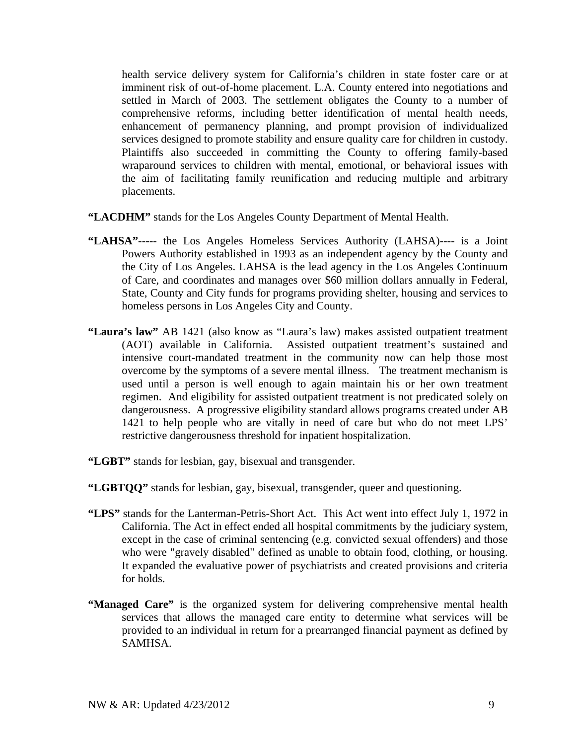health service delivery system for California's children in state foster care or at imminent risk of out-of-home placement. L.A. County entered into negotiations and settled in March of 2003. The settlement obligates the County to a number of comprehensive reforms, including better identification of mental health needs, enhancement of permanency planning, and prompt provision of individualized services designed to promote stability and ensure quality care for children in custody. Plaintiffs also succeeded in committing the County to offering family-based wraparound services to children with mental, emotional, or behavioral issues with the aim of facilitating family reunification and reducing multiple and arbitrary placements.

- **"LACDHM"** stands for the Los Angeles County Department of Mental Health.
- **"LAHSA"**----- the Los Angeles Homeless Services Authority (LAHSA)---- is a Joint Powers Authority established in 1993 as an independent agency by the County and the City of Los Angeles. LAHSA is the lead agency in the Los Angeles Continuum of Care, and coordinates and manages over \$60 million dollars annually in Federal, State, County and City funds for programs providing shelter, housing and services to homeless persons in Los Angeles City and County.
- **"Laura's law"** AB 1421 (also know as "Laura's law) makes assisted outpatient treatment (AOT) available in California. Assisted outpatient treatment's sustained and intensive court-mandated treatment in the community now can help those most overcome by the symptoms of a severe mental illness. The treatment mechanism is used until a person is well enough to again maintain his or her own treatment regimen. And eligibility for assisted outpatient treatment is not predicated solely on dangerousness. A progressive eligibility standard allows programs created under AB 1421 to help people who are vitally in need of care but who do not meet LPS' restrictive dangerousness threshold for inpatient hospitalization.
- **"LGBT"** stands for lesbian, gay, bisexual and transgender.
- **"LGBTQQ"** stands for lesbian, gay, bisexual, transgender, queer and questioning.
- **"LPS"** stands for the Lanterman-Petris-Short Act. This Act went into effect July 1, 1972 in California. The Act in effect ended all hospital commitments by the judiciary system, except in the case of criminal sentencing (e.g. convicted sexual offenders) and those who were "gravely disabled" defined as unable to obtain food, clothing, or housing. It expanded the evaluative power of psychiatrists and created provisions and criteria for holds.
- **"Managed Care"** is the organized system for delivering comprehensive mental health services that allows the managed care entity to determine what services will be provided to an individual in return for a prearranged financial payment as defined by SAMHSA.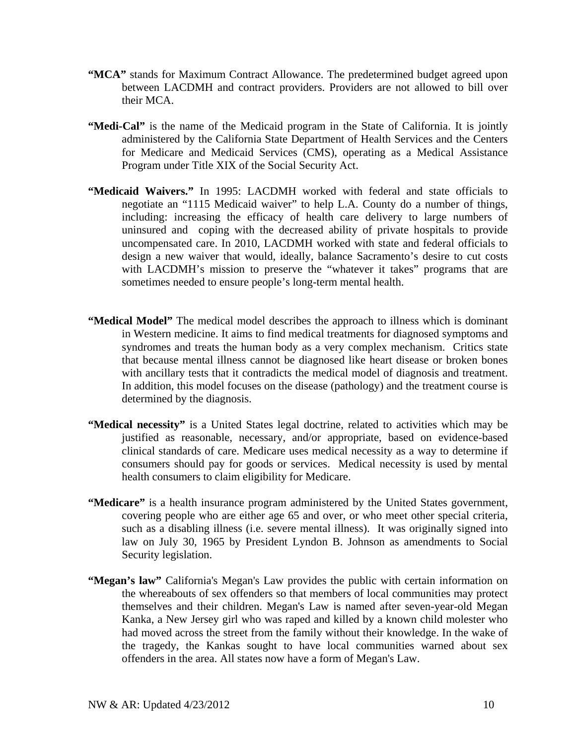- **"MCA"** stands for Maximum Contract Allowance. The predetermined budget agreed upon between LACDMH and contract providers. Providers are not allowed to bill over their MCA.
- **"Medi-Cal"** is the name of the Medicaid program in the State of California. It is jointly administered by the California State Department of Health Services and the Centers for Medicare and Medicaid Services (CMS), operating as a Medical Assistance Program under Title XIX of the Social Security Act.
- **"Medicaid Waivers."** In 1995: LACDMH worked with federal and state officials to negotiate an "1115 Medicaid waiver" to help L.A. County do a number of things, including: increasing the efficacy of health care delivery to large numbers of uninsured and coping with the decreased ability of private hospitals to provide uncompensated care. In 2010, LACDMH worked with state and federal officials to design a new waiver that would, ideally, balance Sacramento's desire to cut costs with LACDMH's mission to preserve the "whatever it takes" programs that are sometimes needed to ensure people's long-term mental health.
- **"Medical Model"** The medical model describes the approach to illness which is dominant in Western medicine. It aims to find medical treatments for diagnosed symptoms and syndromes and treats the human body as a very complex mechanism. Critics state that because mental illness cannot be diagnosed like heart disease or broken bones with ancillary tests that it contradicts the medical model of diagnosis and treatment. In addition, this model focuses on the disease (pathology) and the treatment course is determined by the diagnosis.
- **"Medical necessity"** is a United States legal doctrine, related to activities which may be justified as reasonable, necessary, and/or appropriate, based on evidence-based clinical standards of care. Medicare uses medical necessity as a way to determine if consumers should pay for goods or services. Medical necessity is used by mental health consumers to claim eligibility for Medicare.
- **"Medicare"** is a health insurance program administered by the United States government, covering people who are either age 65 and over, or who meet other special criteria, such as a disabling illness (i.e. severe mental illness). It was originally signed into law on July 30, 1965 by President Lyndon B. Johnson as amendments to Social Security legislation.
- **"Megan's law"** California's Megan's Law provides the public with certain information on the whereabouts of sex offenders so that members of local communities may protect themselves and their children. Megan's Law is named after seven-year-old Megan Kanka, a New Jersey girl who was raped and killed by a known child molester who had moved across the street from the family without their knowledge. In the wake of the tragedy, the Kankas sought to have local communities warned about sex offenders in the area. All states now have a form of Megan's Law.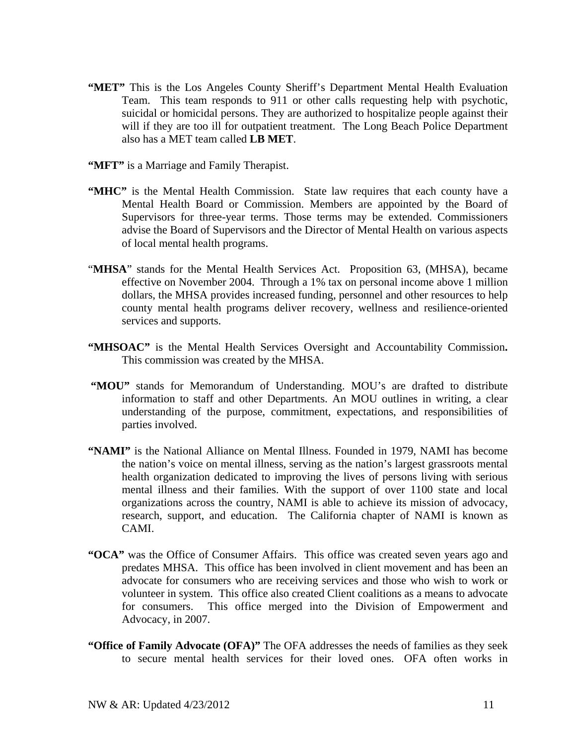- **"MET"** This is the Los Angeles County Sheriff's Department Mental Health Evaluation Team. This team responds to 911 or other calls requesting help with psychotic, suicidal or homicidal persons. They are authorized to hospitalize people against their will if they are too ill for outpatient treatment. The Long Beach Police Department also has a MET team called **LB MET**.
- **"MFT"** is a Marriage and Family Therapist.
- **"MHC"** is the Mental Health Commission. State law requires that each county have a Mental Health Board or Commission. Members are appointed by the Board of Supervisors for three-year terms. Those terms may be extended. Commissioners advise the Board of Supervisors and the Director of Mental Health on various aspects of local mental health programs.
- "MHSA" stands for the Mental Health Services Act. Proposition 63, (MHSA), became effective on November 2004. Through a 1% tax on personal income above 1 million dollars, the MHSA provides increased funding, personnel and other resources to help county mental health programs deliver recovery, wellness and resilience-oriented services and supports.
- **"MHSOAC"** is the Mental Health Services Oversight and Accountability Commission**.**  This commission was created by the MHSA.
- "MOU" stands for Memorandum of Understanding. MOU's are drafted to distribute information to staff and other Departments. An MOU outlines in writing, a clear understanding of the purpose, commitment, expectations, and responsibilities of parties involved.
- **"NAMI"** is the National Alliance on Mental Illness. Founded in 1979, NAMI has become the nation's voice on mental illness, serving as the nation's largest grassroots mental health organization dedicated to improving the lives of persons living with serious mental illness and their families. With the support of over 1100 state and local organizations across the country, NAMI is able to achieve its mission of advocacy, research, support, and education. The California chapter of NAMI is known as CAMI.
- **"OCA"** was the Office of Consumer Affairs. This office was created seven years ago and predates MHSA. This office has been involved in client movement and has been an advocate for consumers who are receiving services and those who wish to work or volunteer in system. This office also created Client coalitions as a means to advocate for consumers. This office merged into the Division of Empowerment and Advocacy, in 2007.
- **"Office of Family Advocate (OFA)"** The OFA addresses the needs of families as they seek to secure mental health services for their loved ones. OFA often works in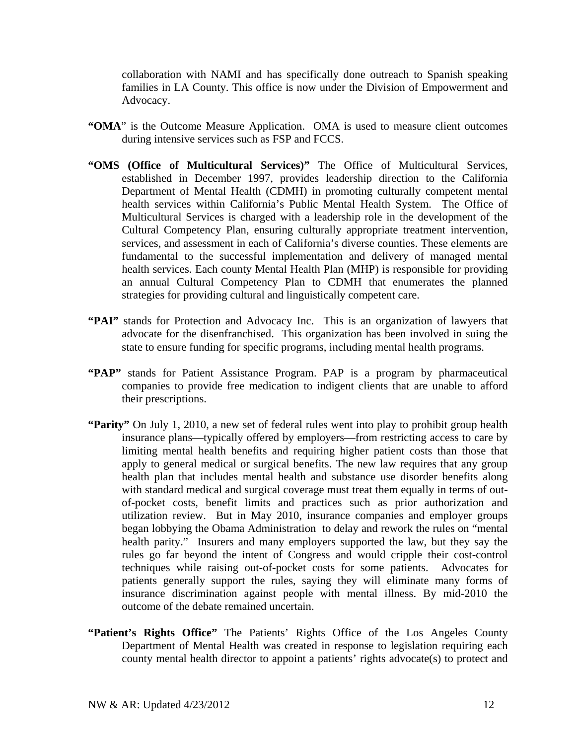collaboration with NAMI and has specifically done outreach to Spanish speaking families in LA County. This office is now under the Division of Empowerment and Advocacy.

- **"OMA**" is the Outcome Measure Application. OMA is used to measure client outcomes during intensive services such as FSP and FCCS.
- **"OMS (Office of Multicultural Services)"** The Office of Multicultural Services, established in December 1997, provides leadership direction to the California Department of Mental Health (CDMH) in promoting culturally competent mental health services within California's Public Mental Health System. The Office of Multicultural Services is charged with a leadership role in the development of the Cultural Competency Plan, ensuring culturally appropriate treatment intervention, services, and assessment in each of California's diverse counties. These elements are fundamental to the successful implementation and delivery of managed mental health services. Each county Mental Health Plan (MHP) is responsible for providing an annual Cultural Competency Plan to CDMH that enumerates the planned strategies for providing cultural and linguistically competent care.
- **"PAI"** stands for Protection and Advocacy Inc. This is an organization of lawyers that advocate for the disenfranchised. This organization has been involved in suing the state to ensure funding for specific programs, including mental health programs.
- **"PAP"** stands for Patient Assistance Program. PAP is a program by pharmaceutical companies to provide free medication to indigent clients that are unable to afford their prescriptions.
- **"Parity"** On July 1, 2010, a new set of federal rules went into play to prohibit group health insurance plans—typically offered by employers—from restricting access to care by limiting mental health benefits and requiring higher patient costs than those that apply to general medical or surgical benefits. The new law requires that any group health plan that includes mental health and substance use disorder benefits along with standard medical and surgical coverage must treat them equally in terms of outof-pocket costs, benefit limits and practices such as prior authorization and utilization review. But in May 2010, insurance companies and employer groups began lobbying the Obama Administration to delay and rework the rules on "mental health parity." Insurers and many employers supported the law, but they say the rules go far beyond the intent of Congress and would cripple their cost-control techniques while raising out-of-pocket costs for some patients. Advocates for patients generally support the rules, saying they will eliminate many forms of insurance discrimination against people with mental illness. By mid-2010 the outcome of the debate remained uncertain.
- **"Patient's Rights Office"** The Patients' Rights Office of the Los Angeles County Department of Mental Health was created in response to legislation requiring each county mental health director to appoint a patients' rights advocate(s) to protect and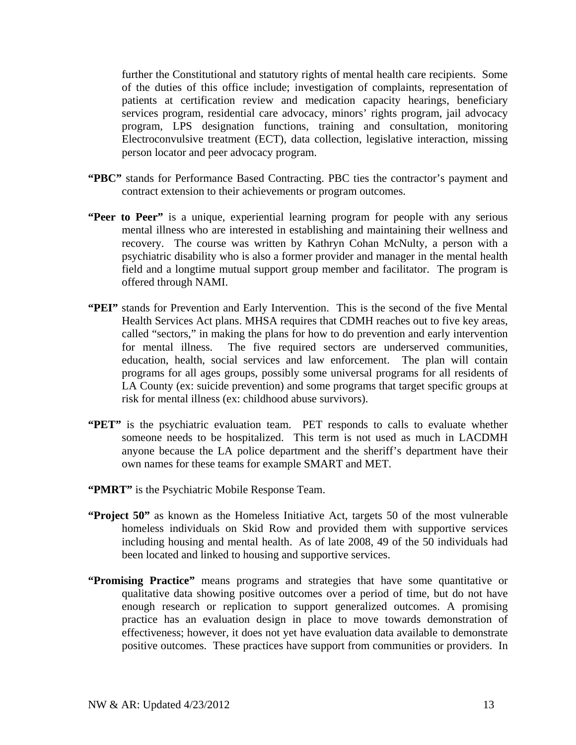further the Constitutional and statutory rights of mental health care recipients. Some of the duties of this office include; investigation of complaints, representation of patients at certification review and medication capacity hearings, beneficiary services program, residential care advocacy, minors' rights program, jail advocacy program, LPS designation functions, training and consultation, monitoring Electroconvulsive treatment (ECT), data collection, legislative interaction, missing person locator and peer advocacy program.

- **"PBC"** stands for Performance Based Contracting. PBC ties the contractor's payment and contract extension to their achievements or program outcomes.
- **"Peer to Peer"** is a unique, experiential learning program for people with any serious mental illness who are interested in establishing and maintaining their wellness and recovery. The course was written by Kathryn Cohan McNulty, a person with a psychiatric disability who is also a former provider and manager in the mental health field and a longtime mutual support group member and facilitator. The program is offered through NAMI.
- **"PEI"** stands for Prevention and Early Intervention. This is the second of the five Mental Health Services Act plans. MHSA requires that CDMH reaches out to five key areas, called "sectors," in making the plans for how to do prevention and early intervention for mental illness. The five required sectors are underserved communities, education, health, social services and law enforcement. The plan will contain programs for all ages groups, possibly some universal programs for all residents of LA County (ex: suicide prevention) and some programs that target specific groups at risk for mental illness (ex: childhood abuse survivors).
- **"PET"** is the psychiatric evaluation team. PET responds to calls to evaluate whether someone needs to be hospitalized. This term is not used as much in LACDMH anyone because the LA police department and the sheriff's department have their own names for these teams for example SMART and MET.
- **"PMRT"** is the Psychiatric Mobile Response Team.
- **"Project 50"** as known as the Homeless Initiative Act, targets 50 of the most vulnerable homeless individuals on Skid Row and provided them with supportive services including housing and mental health. As of late 2008, 49 of the 50 individuals had been located and linked to housing and supportive services.
- **"Promising Practice"** means programs and strategies that have some quantitative or qualitative data showing positive outcomes over a period of time, but do not have enough research or replication to support generalized outcomes. A promising practice has an evaluation design in place to move towards demonstration of effectiveness; however, it does not yet have evaluation data available to demonstrate positive outcomes. These practices have support from communities or providers. In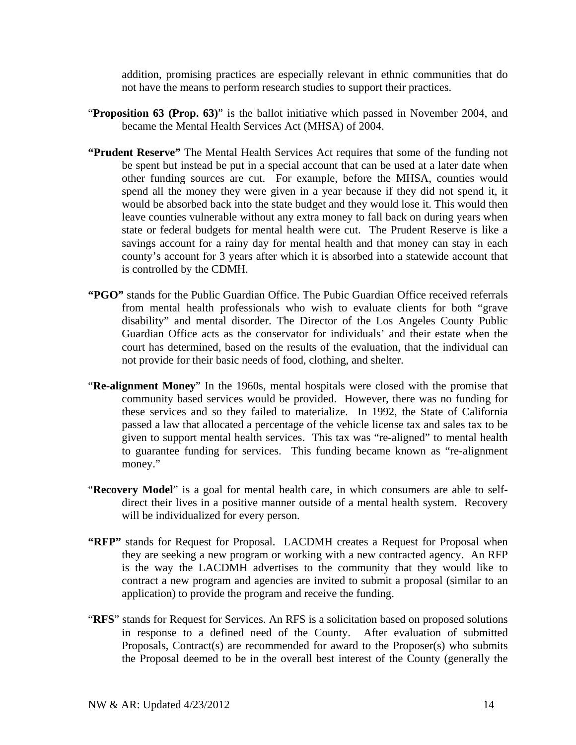addition, promising practices are especially relevant in ethnic communities that do not have the means to perform research studies to support their practices.

- "**Proposition 63 (Prop. 63)**" is the ballot initiative which passed in November 2004, and became the Mental Health Services Act (MHSA) of 2004.
- **"Prudent Reserve"** The Mental Health Services Act requires that some of the funding not be spent but instead be put in a special account that can be used at a later date when other funding sources are cut. For example, before the MHSA, counties would spend all the money they were given in a year because if they did not spend it, it would be absorbed back into the state budget and they would lose it. This would then leave counties vulnerable without any extra money to fall back on during years when state or federal budgets for mental health were cut. The Prudent Reserve is like a savings account for a rainy day for mental health and that money can stay in each county's account for 3 years after which it is absorbed into a statewide account that is controlled by the CDMH.
- **"PGO"** stands for the Public Guardian Office. The Pubic Guardian Office received referrals from mental health professionals who wish to evaluate clients for both "grave disability" and mental disorder. The Director of the Los Angeles County Public Guardian Office acts as the conservator for individuals' and their estate when the court has determined, based on the results of the evaluation, that the individual can not provide for their basic needs of food, clothing, and shelter.
- "**Re-alignment Money**" In the 1960s, mental hospitals were closed with the promise that community based services would be provided. However, there was no funding for these services and so they failed to materialize. In 1992, the State of California passed a law that allocated a percentage of the vehicle license tax and sales tax to be given to support mental health services. This tax was "re-aligned" to mental health to guarantee funding for services. This funding became known as "re-alignment money."
- "**Recovery Model**" is a goal for mental health care, in which consumers are able to selfdirect their lives in a positive manner outside of a mental health system. Recovery will be individualized for every person.
- **"RFP"** stands for Request for Proposal. LACDMH creates a Request for Proposal when they are seeking a new program or working with a new contracted agency. An RFP is the way the LACDMH advertises to the community that they would like to contract a new program and agencies are invited to submit a proposal (similar to an application) to provide the program and receive the funding.
- "**RFS**" stands for Request for Services. An RFS is a solicitation based on proposed solutions in response to a defined need of the County. After evaluation of submitted Proposals, Contract(s) are recommended for award to the Proposer(s) who submits the Proposal deemed to be in the overall best interest of the County (generally the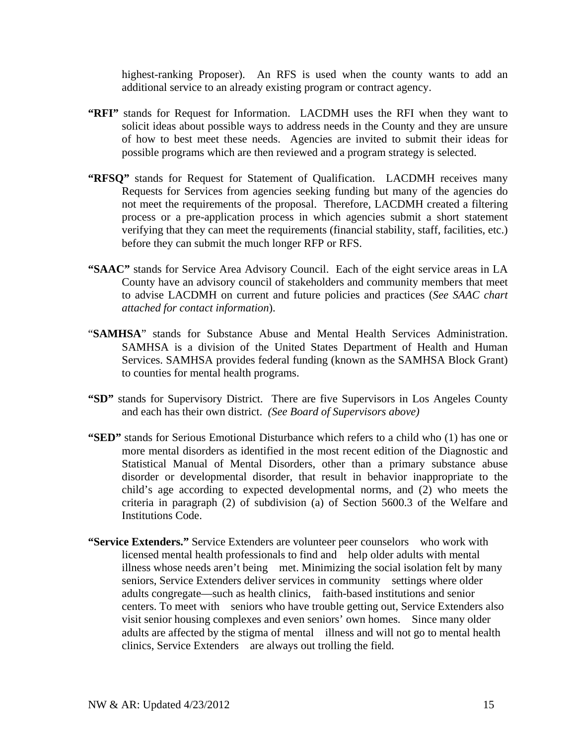highest-ranking Proposer). An RFS is used when the county wants to add an additional service to an already existing program or contract agency.

- **"RFI"** stands for Request for Information. LACDMH uses the RFI when they want to solicit ideas about possible ways to address needs in the County and they are unsure of how to best meet these needs. Agencies are invited to submit their ideas for possible programs which are then reviewed and a program strategy is selected.
- **"RFSQ"** stands for Request for Statement of Qualification. LACDMH receives many Requests for Services from agencies seeking funding but many of the agencies do not meet the requirements of the proposal. Therefore, LACDMH created a filtering process or a pre-application process in which agencies submit a short statement verifying that they can meet the requirements (financial stability, staff, facilities, etc.) before they can submit the much longer RFP or RFS.
- **"SAAC"** stands for Service Area Advisory Council. Each of the eight service areas in LA County have an advisory council of stakeholders and community members that meet to advise LACDMH on current and future policies and practices (*See SAAC chart attached for contact information*).
- "**SAMHSA**" stands for Substance Abuse and Mental Health Services Administration. SAMHSA is a division of the United States Department of Health and Human Services. SAMHSA provides federal funding (known as the SAMHSA Block Grant) to counties for mental health programs.
- **"SD"** stands for Supervisory District. There are five Supervisors in Los Angeles County and each has their own district. *(See Board of Supervisors above)*
- **"SED"** stands for Serious Emotional Disturbance which refers to a child who (1) has one or more mental disorders as identified in the most recent edition of the Diagnostic and Statistical Manual of Mental Disorders, other than a primary substance abuse disorder or developmental disorder, that result in behavior inappropriate to the child's age according to expected developmental norms, and (2) who meets the criteria in paragraph (2) of subdivision (a) of Section 5600.3 of the Welfare and Institutions Code.
- **"Service Extenders."** Service Extenders are volunteer peer counselors who work with licensed mental health professionals to find and help older adults with mental illness whose needs aren't being met. Minimizing the social isolation felt by many seniors, Service Extenders deliver services in community settings where older adults congregate—such as health clinics, faith-based institutions and senior centers. To meet with seniors who have trouble getting out, Service Extenders also visit senior housing complexes and even seniors' own homes. Since many older adults are affected by the stigma of mental illness and will not go to mental health clinics, Service Extenders are always out trolling the field.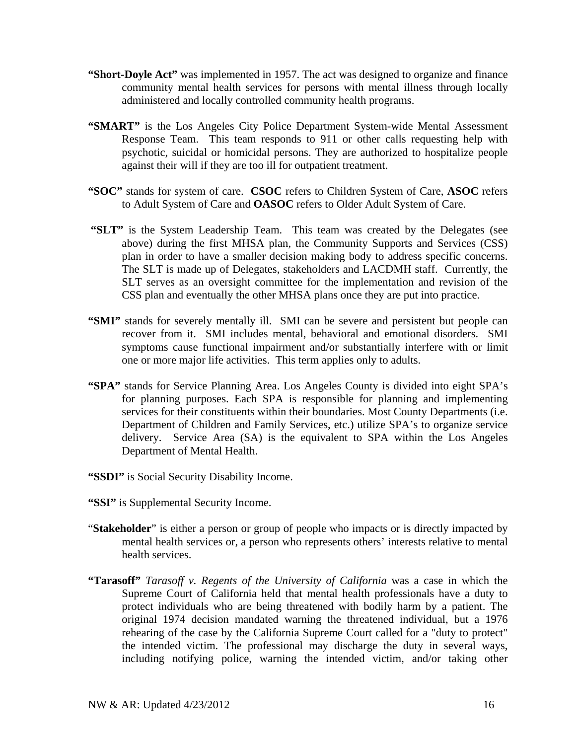- **"Short-Doyle Act"** was implemented in 1957. The act was designed to organize and finance community mental health services for persons with mental illness through locally administered and locally controlled community health programs.
- "SMART" is the Los Angeles City Police Department System-wide Mental Assessment Response Team. This team responds to 911 or other calls requesting help with psychotic, suicidal or homicidal persons. They are authorized to hospitalize people against their will if they are too ill for outpatient treatment.
- **"SOC"** stands for system of care. **CSOC** refers to Children System of Care, **ASOC** refers to Adult System of Care and **OASOC** refers to Older Adult System of Care.
- **"SLT"** is the System Leadership Team. This team was created by the Delegates (see above) during the first MHSA plan, the Community Supports and Services (CSS) plan in order to have a smaller decision making body to address specific concerns. The SLT is made up of Delegates, stakeholders and LACDMH staff. Currently, the SLT serves as an oversight committee for the implementation and revision of the CSS plan and eventually the other MHSA plans once they are put into practice.
- "SMI" stands for severely mentally ill. SMI can be severe and persistent but people can recover from it. SMI includes mental, behavioral and emotional disorders. SMI symptoms cause functional impairment and/or substantially interfere with or limit one or more major life activities. This term applies only to adults.
- **"SPA"** stands for Service Planning Area. Los Angeles County is divided into eight SPA's for planning purposes. Each SPA is responsible for planning and implementing services for their constituents within their boundaries. Most County Departments (i.e. Department of Children and Family Services, etc.) utilize SPA's to organize service delivery. Service Area (SA) is the equivalent to SPA within the Los Angeles Department of Mental Health.
- **"SSDI"** is Social Security Disability Income.
- **"SSI"** is Supplemental Security Income.
- "**Stakeholder**" is either a person or group of people who impacts or is directly impacted by mental health services or, a person who represents others' interests relative to mental health services.
- **"Tarasoff"** *Tarasoff v. Regents of the University of California* was a case in which the Supreme Court of California held that mental health professionals have a duty to protect individuals who are being threatened with bodily harm by a patient. The original 1974 decision mandated warning the threatened individual, but a 1976 rehearing of the case by the California Supreme Court called for a "duty to protect" the intended victim. The professional may discharge the duty in several ways, including notifying police, warning the intended victim, and/or taking other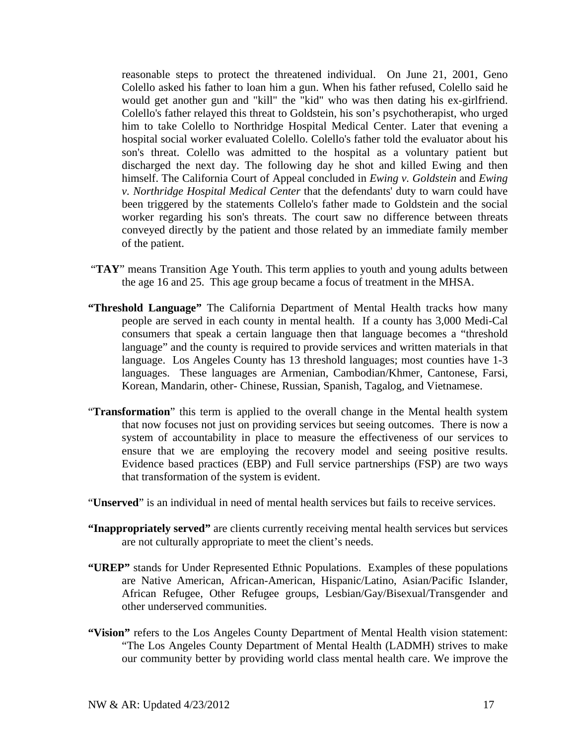reasonable steps to protect the threatened individual. On June 21, 2001, Geno Colello asked his father to loan him a gun. When his father refused, Colello said he would get another gun and "kill" the "kid" who was then dating his ex-girlfriend. Colello's father relayed this threat to Goldstein, his son's psychotherapist, who urged him to take Colello to Northridge Hospital Medical Center. Later that evening a hospital social worker evaluated Colello. Colello's father told the evaluator about his son's threat. Colello was admitted to the hospital as a voluntary patient but discharged the next day. The following day he shot and killed Ewing and then himself. The California Court of Appeal concluded in *Ewing v. Goldstein* and *Ewing v. Northridge Hospital Medical Center* that the defendants' duty to warn could have been triggered by the statements Collelo's father made to Goldstein and the social worker regarding his son's threats. The court saw no difference between threats conveyed directly by the patient and those related by an immediate family member of the patient.

- "TAY" means Transition Age Youth. This term applies to youth and young adults between the age 16 and 25. This age group became a focus of treatment in the MHSA.
- **"Threshold Language"** The California Department of Mental Health tracks how many people are served in each county in mental health. If a county has 3,000 Medi-Cal consumers that speak a certain language then that language becomes a "threshold language" and the county is required to provide services and written materials in that language. Los Angeles County has 13 threshold languages; most counties have 1-3 languages. These languages are Armenian, Cambodian/Khmer, Cantonese, Farsi, Korean, Mandarin, other- Chinese, Russian, Spanish, Tagalog, and Vietnamese.
- "**Transformation**" this term is applied to the overall change in the Mental health system that now focuses not just on providing services but seeing outcomes. There is now a system of accountability in place to measure the effectiveness of our services to ensure that we are employing the recovery model and seeing positive results. Evidence based practices (EBP) and Full service partnerships (FSP) are two ways that transformation of the system is evident.
- "**Unserved**" is an individual in need of mental health services but fails to receive services.
- **"Inappropriately served"** are clients currently receiving mental health services but services are not culturally appropriate to meet the client's needs.
- **"UREP"** stands for Under Represented Ethnic Populations. Examples of these populations are Native American, African-American, Hispanic/Latino, Asian/Pacific Islander, African Refugee, Other Refugee groups, Lesbian/Gay/Bisexual/Transgender and other underserved communities.
- **"Vision"** refers to the Los Angeles County Department of Mental Health vision statement: "The Los Angeles County Department of Mental Health (LADMH) strives to make our community better by providing world class mental health care. We improve the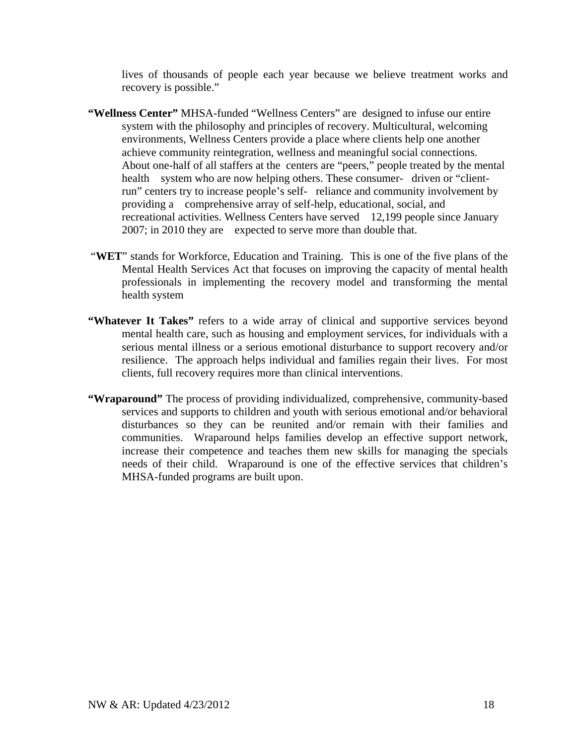lives of thousands of people each year because we believe treatment works and recovery is possible."

- **"Wellness Center"** MHSA-funded "Wellness Centers" are designed to infuse our entire system with the philosophy and principles of recovery. Multicultural, welcoming environments, Wellness Centers provide a place where clients help one another achieve community reintegration, wellness and meaningful social connections. About one-half of all staffers at the centers are "peers," people treated by the mental health system who are now helping others. These consumer- driven or "clientrun" centers try to increase people's self- reliance and community involvement by providing a comprehensive array of self-help, educational, social, and recreational activities. Wellness Centers have served 12,199 people since January 2007; in 2010 they are expected to serve more than double that.
- "**WET**" stands for Workforce, Education and Training. This is one of the five plans of the Mental Health Services Act that focuses on improving the capacity of mental health professionals in implementing the recovery model and transforming the mental health system
- **"Whatever It Takes"** refers to a wide array of clinical and supportive services beyond mental health care, such as housing and employment services, for individuals with a serious mental illness or a serious emotional disturbance to support recovery and/or resilience. The approach helps individual and families regain their lives. For most clients, full recovery requires more than clinical interventions.
- **"Wraparound"** The process of providing individualized, comprehensive, community-based services and supports to children and youth with serious emotional and/or behavioral disturbances so they can be reunited and/or remain with their families and communities. Wraparound helps families develop an effective support network, increase their competence and teaches them new skills for managing the specials needs of their child. Wraparound is one of the effective services that children's MHSA-funded programs are built upon.